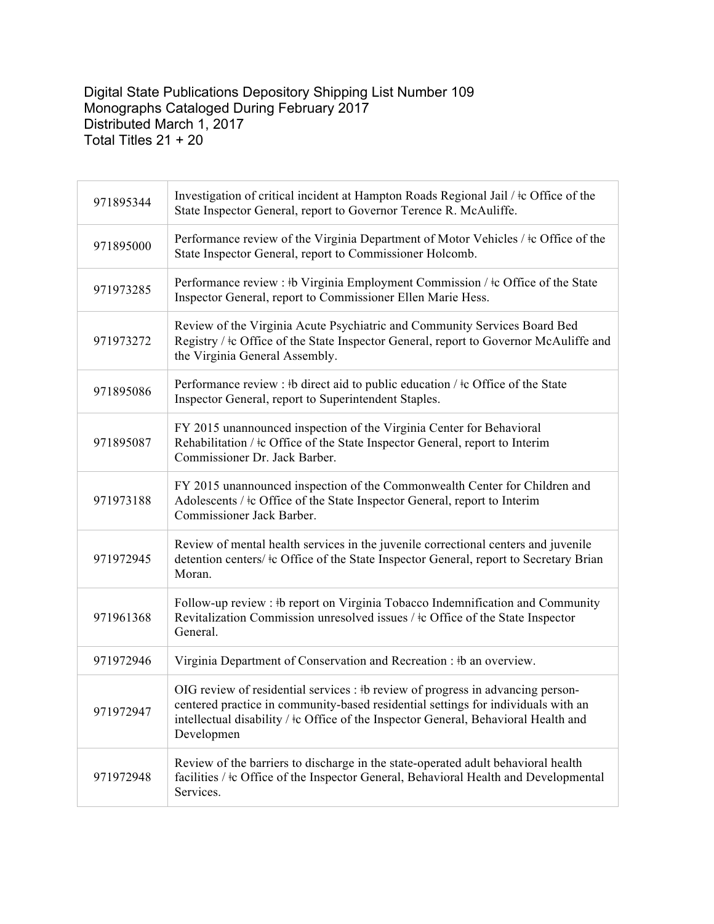## Digital State Publications Depository Shipping List Number 109 Monographs Cataloged During February 2017 Distributed March 1, 2017 Total Titles 21 + 20

| 971895344 | Investigation of critical incident at Hampton Roads Regional Jail / $\pm$ c Office of the<br>State Inspector General, report to Governor Terence R. McAuliffe.                                                                                                                 |
|-----------|--------------------------------------------------------------------------------------------------------------------------------------------------------------------------------------------------------------------------------------------------------------------------------|
| 971895000 | Performance review of the Virginia Department of Motor Vehicles / $\pm$ c Office of the<br>State Inspector General, report to Commissioner Holcomb.                                                                                                                            |
| 971973285 | Performance review : #b Virginia Employment Commission / #c Office of the State<br>Inspector General, report to Commissioner Ellen Marie Hess.                                                                                                                                 |
| 971973272 | Review of the Virginia Acute Psychiatric and Community Services Board Bed<br>Registry / ‡c Office of the State Inspector General, report to Governor McAuliffe and<br>the Virginia General Assembly.                                                                           |
| 971895086 | Performance review : #b direct aid to public education $/$ #c Office of the State<br>Inspector General, report to Superintendent Staples.                                                                                                                                      |
| 971895087 | FY 2015 unannounced inspection of the Virginia Center for Behavioral<br>Rehabilitation / $\pm c$ Office of the State Inspector General, report to Interim<br>Commissioner Dr. Jack Barber.                                                                                     |
| 971973188 | FY 2015 unannounced inspection of the Commonwealth Center for Children and<br>Adolescents / ‡c Office of the State Inspector General, report to Interim<br>Commissioner Jack Barber.                                                                                           |
| 971972945 | Review of mental health services in the juvenile correctional centers and juvenile<br>detention centers/ $\pm c$ Office of the State Inspector General, report to Secretary Brian<br>Moran.                                                                                    |
| 971961368 | Follow-up review : #b report on Virginia Tobacco Indemnification and Community<br>Revitalization Commission unresolved issues / ‡c Office of the State Inspector<br>General.                                                                                                   |
| 971972946 | Virginia Department of Conservation and Recreation : #b an overview.                                                                                                                                                                                                           |
| 971972947 | OIG review of residential services : #b review of progress in advancing person-<br>centered practice in community-based residential settings for individuals with an<br>intellectual disability / $\pm c$ Office of the Inspector General, Behavioral Health and<br>Developmen |
| 971972948 | Review of the barriers to discharge in the state-operated adult behavioral health<br>facilities / $\pm c$ Office of the Inspector General, Behavioral Health and Developmental<br>Services.                                                                                    |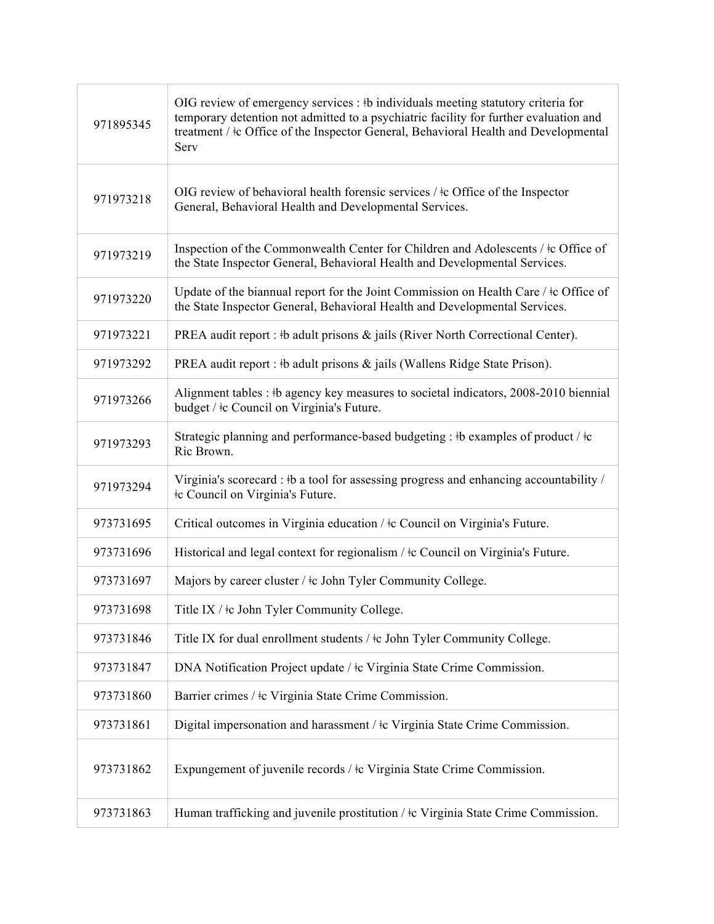| 971895345 | OIG review of emergency services : #b individuals meeting statutory criteria for<br>temporary detention not admitted to a psychiatric facility for further evaluation and<br>treatment / $\pm c$ Office of the Inspector General, Behavioral Health and Developmental<br>Serv |
|-----------|-------------------------------------------------------------------------------------------------------------------------------------------------------------------------------------------------------------------------------------------------------------------------------|
| 971973218 | OIG review of behavioral health forensic services $/$ $\pm$ c Office of the Inspector<br>General, Behavioral Health and Developmental Services.                                                                                                                               |
| 971973219 | Inspection of the Commonwealth Center for Children and Adolescents / ‡c Office of<br>the State Inspector General, Behavioral Health and Developmental Services.                                                                                                               |
| 971973220 | Update of the biannual report for the Joint Commission on Health Care / $\pm c$ Office of<br>the State Inspector General, Behavioral Health and Developmental Services.                                                                                                       |
| 971973221 | PREA audit report : #b adult prisons & jails (River North Correctional Center).                                                                                                                                                                                               |
| 971973292 | PREA audit report : #b adult prisons & jails (Wallens Ridge State Prison).                                                                                                                                                                                                    |
| 971973266 | Alignment tables : #b agency key measures to societal indicators, 2008-2010 biennial<br>budget / $\pm c$ Council on Virginia's Future.                                                                                                                                        |
| 971973293 | Strategic planning and performance-based budgeting : #b examples of product / $\pm c$<br>Ric Brown.                                                                                                                                                                           |
| 971973294 | Virginia's scorecard : #b a tool for assessing progress and enhancing accountability /<br>te Council on Virginia's Future.                                                                                                                                                    |
| 973731695 | Critical outcomes in Virginia education / $\pm$ c Council on Virginia's Future.                                                                                                                                                                                               |
| 973731696 | Historical and legal context for regionalism / $\pm c$ Council on Virginia's Future.                                                                                                                                                                                          |
| 973731697 | Majors by career cluster / $\pm$ c John Tyler Community College.                                                                                                                                                                                                              |
| 973731698 | Title IX / $\pm$ c John Tyler Community College.                                                                                                                                                                                                                              |
| 973731846 | Title IX for dual enrollment students / $\pm$ c John Tyler Community College.                                                                                                                                                                                                 |
| 973731847 | DNA Notification Project update / ‡c Virginia State Crime Commission.                                                                                                                                                                                                         |
| 973731860 | Barrier crimes / ‡c Virginia State Crime Commission.                                                                                                                                                                                                                          |
| 973731861 | Digital impersonation and harassment / ‡c Virginia State Crime Commission.                                                                                                                                                                                                    |
| 973731862 | Expungement of juvenile records / ‡c Virginia State Crime Commission.                                                                                                                                                                                                         |
| 973731863 | Human trafficking and juvenile prostitution / $\pm c$ Virginia State Crime Commission.                                                                                                                                                                                        |